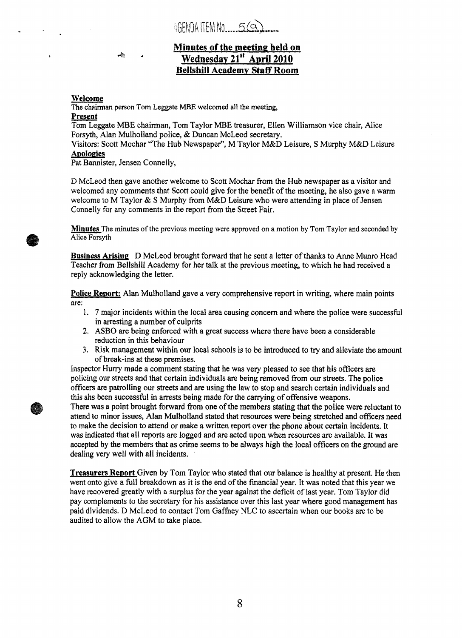AGENDALTEMNO  $56$ 

### **Minutes of the meeting held on Wednesday 21'' April 2010 Bellsbill Academv Staff Room**

### **Welcome**

The chairman person Tom **Leggate MBE** welcomed **all** the meeting,

### **Present**

Tom Leggate **MBE** chairman, Tom Taylor **MBE** treasurer, Ellen Williamson vice chair, Alice Forsyth, Alan Mulholland police, & Duncan McLeod secretary.

Visitors: Scott Mochar "The Hub Newspaper", M Taylor M&D Leisure, **S** Murphy M&D Leisure **ADoiopies** 

Pat Bannister, Jensen Connelly,

**A?<** 

D McLeod then gave another welcome to Scott Mochar from the Hub newspaper as a visitor and welcomed any comments that Scott could give for the benefit of the meeting, he also gave a warm welcome to M Taylor & *S* Murphy from M&D Leisure who were attending in place of Jensen Connelly for any comments in the report from the Street Fair.

**Minutes** The minutes of **the** previous meeting were approved on a motion by Tom Taylor and seconded by **Alice** Forsyth

**Business Arising** D McLeod brought forward that he sent a letter of thanks to Anne Munro Head Teacher fiom Bellshill Academy for her talk at the previous meeting, to which he had received **a**  reply acknowledging the letter.

Police Report: Alan Mulholland gave a very comprehensive report in writing, where main points are:

- **1. 7** major incidents within the local area causing concern and where the police were successful in arresting a number of culprits
- **2. ASBO** are being enforced with a great success where there have been a considerable reduction in this behaviour
- 3. Risk management within our local schools is to be introduced to **try** and alleviate the amount of break-ins at these premises.

Inspector **Hurry** made a comment stating that he was very pleased to see that his officers are policing our streets and that certain individuals are being removed from our streets. The police officers are patrolling our streets and are using the law to stop and search certain individuals and this ahs been successful in arrests being made for the carrying of offensive weapons.

There was a point brought forward from one of the members stating that the police were reluctant to attend to minor issues, Alan Mulholland stated that resources were being stretched and officers need to make the decision to attend or make a written report over the phone about certain incidents. It **was** indicated that all reports are **logged** and are acted upon when iesouices **are** available. It **was**  accepted by the members that as crime seems to be always high the local officers on the ground are dealing very well with all incidents.

**Treasurers Report** Given **by** Tom Taylor who stated that our balance is healthy at present. He then went onto give a fill breakdown as it is the end of the financial year. It was noted that this year we have recovered greatly with a surplus for the year against the deficit of last year. Tom Taylor did pay complements to the secretary for his assistance over this last year where good management has paid dividends. D McLeod to contact Tom Gaffney NLC to ascertain when our books are to be audited to allow the **AGM** to take place.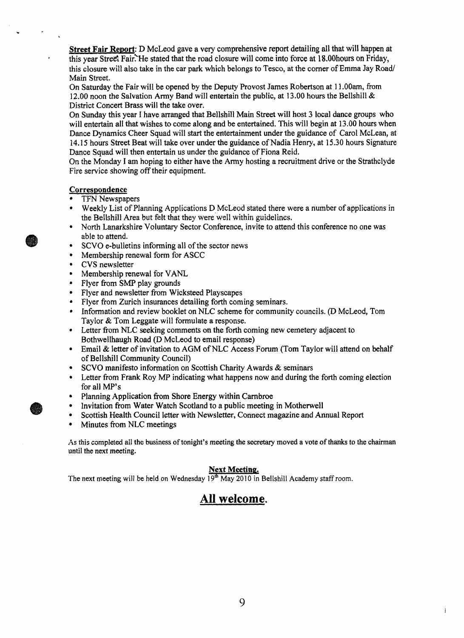**Street Fair Report:** D McLeod gave a very comprehensive report detailing all that will happen at this year Street Fair. He stated that the road closure will come into force at 18.00 hours on Friday, this closure **will** also take in the car park which belongs to Tesco, at the corner of Emma Jay Road/ Main Street.

On Saturday the **Fair** will be opened by the Deputy Provost James Robertson at 1 1 **.OOam,** from 12.00 noon the Salvation **Army** Band will entertain the public, at 13.00 hours the Bellshill & District Concert Brass will the take over.

On Sunday this year **I** have arranged that Bellshill Main Street will host **3** local dance groups who will entertain all that wishes to come along and be entertained. This will begin at 13.00 hours when **Dance** Dynamics Cheer Squad will start the entertainment under the guidance of Carol McLean, at **14.15** hours Street Beat will take over under the guidance of Nadia Henry, at 15.30 hours Signature Dance Squad will then entertain us under the guidance of Fiona Reid.

On the Monday **I** am hoping to either have the Army hosting a recruitment drive or the Strathclyde Fire service showing off their equipment.

### **Correspondence**

.

- TFN Newspapers
- Weekly List of Planning Applications D McLeod stated there were a number of applications in ٠ the Bellshill Area but felt that they were well within guidelines.
- North Lanarkshire Voluntary Sector Conference, invite to attend this conference no one **was**   $\bullet$ able to attend.
- SCVO e-bulletins informing all of the sector news  $\bullet$
- Membership renewal form for ASCC  $\bullet$
- **CVS** newsletter  $\bullet$
- Membership renewal for VANL  $\bullet$
- Flyer from *SMP* play grounds  $\bullet$
- Flyer and newsletter from Wicksteed Playscapes
- Flyer from Zurich insurances detailing forth coming seminars.  $\bullet$
- $\bullet$ Information and review booklet on NLC scheme for community councils, (D McLeod, Tom Taylor & Tom Leggate will formulate a response.
- Letter fiom NLC seeking comments on the forth coming new cemetery adjacent to Bothwellhaugh Road (D McLeod to email response)
- Email & letter of invitation to **AGM** of NLC Access Forum **(Tom** Taylor will attend on behalf  $\bullet$ of Bellshill **Community** Council)
- SCVO manifesto information on Scottish Charity Awards & seminars
- Letter from Frank Roy MP indicating what happens now and during the forth coming election for all MP's
- Planning Application **fiom** Shore Energy within Carnbroe
- Invitation fiom Water Watch Scotland to a public meeting in Motherwell
- Scottish Health Council letter with Newsletter, Connect magazine and Annual Report
- Minutes **fiom** NLC meetings

**As** this **completed** ail **the business of** tonight's meeting the secretary moved a vote of **thanks** to *the* chairrnan until the next meeting.

### **Next Meeting.**

The next meeting will be held on Wednesday  $19<sup>th</sup>$  May 2010 in Bellshill Academy staff room.

## **All welcome.**

Ì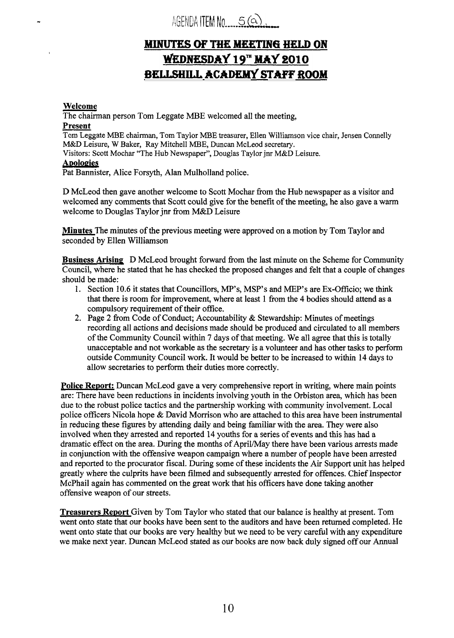AGENDA ITEM NO. 5(a)

# **MINUTES OF THE MEETING HELD ON** WEDNESDAY 19" MAY 2010 BELLSHILL ACADEMY STAFF ROOM

#### **Welcome**

The chairman person Tom Leggate MBE welcomed all the meeting,

### **Present**

Tom Leggate **MBE** chairman, Tom Taylor MBE treasurer, Ellen Williamson vice chair, Jensen Connelly **M&D** Leisure, **W** Baker, Ray Mitchell MBE, Duncan McLeod secretary.

Visitors: Scott Mochar "The Hub Newspaper", Douglas Taylor jnr M&D Leisure.

### **Apologies**

Pat Bannister, Alice Forsyth, Alan Mulholland police.

D McLeod then gave another welcome to Scott Mochar fiom the Hub newspaper as a visitor and welcomed any comments that Scott could give for the benefit of the meeting, he also gave a warm welcome to Douglas Taylor **jnr** fiom M&D Leisure

**Minutes** The minutes of the previous meeting were approved on a motion by Tom Taylor and seconded by Ellen Williamson

**Business Arising** D McLeod brought forward fiom the last minute on the Scheme for Community Council, where he stated that he has checked the proposed changes and felt that a couple of changes should be made:

- 1. Section 10.6 it states that Councillors, *MP's,* MSP's and MEP's are Ex-Officio; we **think**  that there is room for improvement, where at least 1 fiom the 4 bodies should attend as a compulsory requirement of their office.
- **2.** Page **2** fiom Code of Conduct; Accountability & Stewardship: Minutes of meetings recording all actions and decisions made should be produced and circulated to all members of the Community Council within **7** days of that meeting. We all agree that this is totally unacceptable and not workable as the secretary is a volunteer and has other tasks to perform outside Community Council work. It would be better to be increased to within 14 days to allow secretaries to perform their duties more correctly.

Police Report: Duncan McLeod gave a very comprehensive report in writing, where main points are: There have been reductions in incidents involving youth in the Orbiston area, which has been due to the robust police tactics and the partnership working with community involvement. Local police officers Nicola hope  $\&$  David Morrison who are attached to this area have been instrumental in reducing these figures by attending daily and being familiar with the area. They were also involved when they arrested and reported **14** youths for a series of events **and** this has had a dramatic effect on the area. During the months of April/May there have been various arrests made in conjunction with the offensive weapon campaign where a number of people have been arrested and reported to the procurator fiscal. During some of these incidents the Air Support unit has helped greatly where the culprits have been filmed and subsequently arrested for offences. Chief Inspector McPhail again has commented on the great work that his officers have done taking another offensive weapon of our streets.

**Treasurers Report** Given by Tom Taylor who stated that our balance is healthy at present. Tom went onto state that our books have been sent to the auditors and have been returned completed. He went onto state that our books are very healthy but we need to be very careful with any expenditure we make next year. Duncan McLeod stated as our books are now back duly signed off our Annual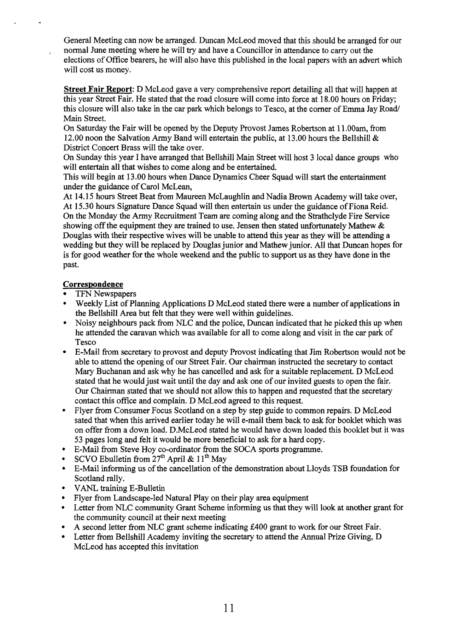General Meeting can now be arranged. Duncan McLeod moved that this should be arranged for our normal June meeting where he will **try** and have a Councillor in attendance to carry out the elections of Office bearers, he will also have this published in the local papers with an advert which will cost us money.

**Street Fair Report:** D McLeod gave a very comprehensive report detailing all that will happen at this year Street Fair. He stated that the road closure will come into force at 18.00 hours on Friday; this closure will also take in the car park which belongs to Tesco, at the corner of Emma Jay Road Main Street.

On Saturday the Fair will be opened by the Deputy Provost James Robertson at 1 1 .OOam, from 12.00 noon the Salvation Army Band will entertain the public, at 13.00 hours the Bellshill & District Concert Brass will the take over.

On Sunday this year I have arranged that Bellshill Main Street will host 3 local dance groups who will entertain all that wishes to come along and be entertained.

This will begin at **13** .OO hours when Dance Dynamics Cheer Squad will start the entertainment under the guidance of Carol McLean,

At 14.15 hours Street Beat from Maureen McLaughlin and Nadia Brown Academy will take over, At 15.30 hours Signature Dance Squad will then entertain us under the guidance of Fiona Reid. On the Monday the Army Recruitment Team are coming along and the Strathclyde Fire Service showing off the equipment they are trained to use. Jensen then stated unfortunately Mathew  $\&$ Douglas with their respective wives will be unable to attend this year as they will be attending a wedding but they will be replaced by Douglas junior and Mathew junior. All that Duncan hopes for is for good weather for the whole weekend and the public to support us as they have done in the past.

### **Correspondence**

- TFN Newspapers
- Weekly List of Planning Applications D McLeod stated there were a number of applications in the Bellshill Area but felt that they were well within guidelines.
- $\bullet$ Noisy neighbours pack from NLC and the police, Duncan indicated that he picked this up when he attended the caravan which was available for all to come along and visit in the car park of Tesco
- E-Mail from secretary to provost and deputy Provost indicating that **Jim** Robertson would not be able to attend the opening of our Street Fair. Our chairman instructed the secretary to contact Mary Buchanan and ask why he has cancelled and ask for a suitable replacement. D McLeod stated that he would just wait until the day and ask one of our invited guests to open the fair. Our Chairman stated that we should not allow this to happen and requested that the secretary contact this office and complain. D McLeod agreed to this request.
- $\bullet$ Flyer from Consumer Focus Scotland on a step by step guide to common repairs. D McLeod sated that when this arrived earlier today he will e-mail them back to ask for booklet which was on offer from a down load. D.McLeod stated he would have down loaded this booklet but it was 53 pages long and felt it would be more beneficial to ask for a hard copy.
- E-Mail from Steve Hoy co-ordinator from the SOCA sports programme.
- SCVO Ebulletin from **27"** April & 11" May
- E-Mail informing us of the cancellation of the demonstration about Lloyds **TSB** foundation for Scotland rally.
- VANL training E-Bulletin
- Flyer from Landscape-led Natural Play on their play area equipment
- Letter from NLC community Grant Scheme informing us that they will look at another grant for the community council at their next meeting
- A second letter from NLC grant scheme indicating **&400** grant to work for our Street Fair.
- Letter from Bellshill Academy inviting the secretary to attend the Annual Prize Giving, D McLeod has accepted this invitation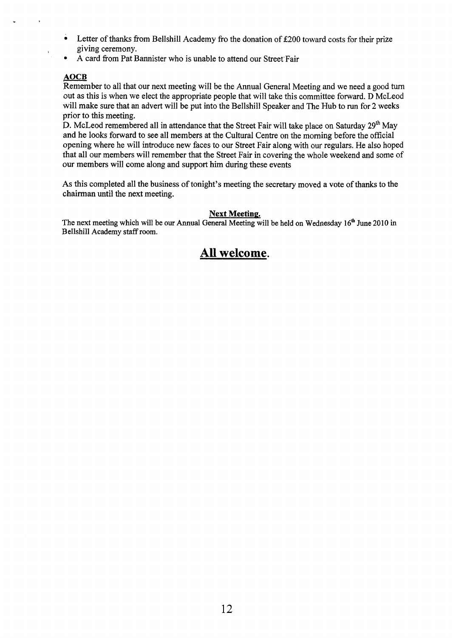- Letter of thanks from Bellshill Academy fro the donation of **2200** toward costs for their prize • Letter of the giving cere.<br>• A card from<br>AOCB<br>Remember to a cout as this is w
- A card from Pat Bannister who is unable to attend our Street Fair

### **AOCB**

Remember to all that our next meeting will be the Annual General Meeting and we need a good turn out as this is when we elect the appropriate people that will take this committee forward. D McLeod will make sure that an advert will be put into the Bellshill Speaker and The Hub to run for **2** weeks prior to this meeting.

**D.** McLeod remembered all in attendance that the Street Fair will take place on Saturday **29'** May **and** he looks forward to see all members at the Cultural Centre on the morning before the official opening where he will introduce new faces to our Street Fair along with our regulars. He also hoped that all our members will remember that the Street Fair in covering the whole weekend and some of **our** members will come along and support him during these events

**As** this completed all the business of tonight's meeting the secretary moved a vote of **thanks** to the chairman until the next meeting.

### **Next Meeting.**

The next meeting which will be our Annual General Meeting will be held on Wednesday 16<sup>th</sup> June 2010 in Bellshill Academy staff room.

### **All welcome.**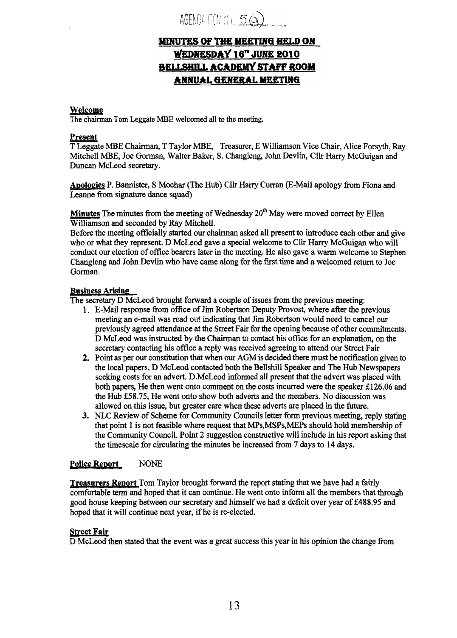AGENDA ITEM NO. 56

### **MINUTES OF THE MEETING HELD ON** WEDNESDAY 16" JUNE 2010 **BELLSHILL ACADEMY STAFF ROOM ANNUAL GENERAL MEETING**

### **Welcome**

The **chairman Tom** Leggate MBE welcomed all to the meeting.

### **Present**

T Leggate MBE Chairman, T Taylor MBE, Treasurer, E Williamson Vice Chair, Alice Forsyth, Ray Mitchell **MBE,** Joe Gorman, Walter Baker, *S.* Changleng, John Devlin, Cllr Harry McGuigan and Duncan McLeod secretary.

Apologies P. Bannister, S Mochar (The Hub) Cllr Harry Curran (E-Mail apology from Fiona and Leanne **from** signature dance squad)

**Minutes** The minutes from the meeting of Wednesday  $20<sup>th</sup>$  May were moved correct by Ellen Williamson and seconded by Ray Mitchell.

Before the meeting officially started our chainnan asked all present to introduce each other and give who or what they represent. D McLeod gave a special welcome to Cllr *Hany* McGuigan who will conduct our election of office bearers later in the meeting. He also gave a warm welcome to Stephen Changleng and John Devlin who have came along for the first time and a welcomed return to Joe Gorman.

### **Business Arising**

The secretary D McLeod brought forward a couple of issues from the previous meeting:

- 1. E-Mail response from office of Jim Robertson Deputy Provost, where after the previous meeting an e-mail was read out indicating that Jim Robertson would need to cancel **our**  previously agreed attendance at the Street Fair for the opening because of other commitments. D McLeod was instructed by the Chairman to contact his office for an explanation, on the secretary contacting his office **a** reply was received agreeing to attend our Street Fair
- **2.**  Point as per our constitution that when our AGM is decided there must be notification given to the local papers, **I3** McLeod contacted both the Bellshill Speaker and The Hub Newspapers seeking costs for an advert. D.McLeod informed all present that the advert was placed with both papers, He then went onto comment on the costs incurred were the speaker  $£126.06$  and the Hub **€58.75,** He went onto show both adverts and the members. No discussion was allowed on this issue, but greater care when these adverts are placed in the future.
- **3.**  NLC Review of Scheme for Community Councils letter form previous meeting, reply stating that point 1 is not feasible where request that **MPs,MSPs,MEPs** should hold membership of the Community Council. Point 2 suggestion constructive will include in his report asking that the timescale for circulating the minutes be increased from **7** days to **14** days.

### **Police ReDort NONE**

**Treasurers Report** Tom Taylor brought forward the report stating that we have had a fairly comfortable term and hoped that it can continue. He went onto inform all the members that through good house keeping between our secretary and himself we had a deficit over year of **€488.95** and hoped that it will continue next year, if he is re-elected.

### **Street Fair**

**D** McLeod then stated that the event was a great success this year in his opinion the change fiom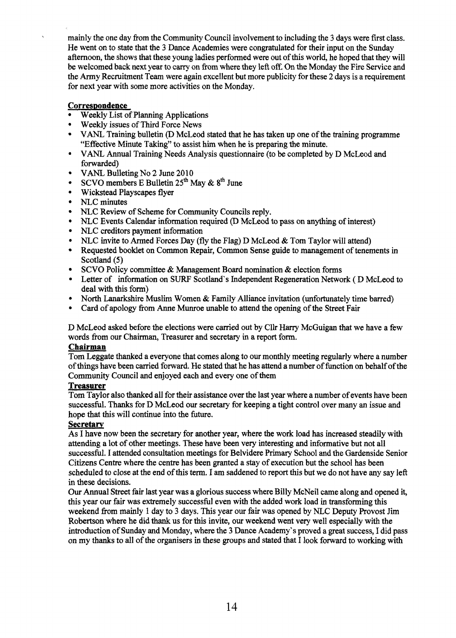mainly the one day from the Community Council involvement to including the 3 days were first class. He went on to state that the 3 Dance Academies were congratulated for their input on the Sunday afternoon, the shows that these young ladies performed were out of this world, he hoped that they will be welcomed back next year to *carry* on from where they lefi off. On the Monday the Fire Service and the **Army** Recruitment Team were again excellent but more publicity for these 2 days is a requirement for next year with some more activities on the Monday.

### Correspondence

- Weekly List of Planning Applications
- Weekly issues of Third Force News
- VANL Training bulletin (D McLeod stated that he has taken up one of the training programme "Effective Minute Taking" to assist him when he is preparing the minute.
- VANL Annual Training Needs Analysis questionnaire (to be completed by D McLeod and  $\bullet$ forwarded)
- VANL Bulleting No 2 June 2010  $\bullet$
- SCVO members E Bulletin **25\*** May & **8\*** June  $\bullet$
- $\bullet$ Wickstead Playscapes flyer
- $\bullet$ NLC minutes
- $\bullet$ NLC Review of Scheme for Community Councils reply.
- NLC Events Calendar information required (D McLeod to pass on anything of interest)  $\bullet$
- NLC creditors payment information  $\bullet$
- NLC invite to Armed Forces Day (fly the Flag) D McLeod & Tom Taylor will attend)
- $\bullet$ Requested booklet on Common Repair, Common Sense guide to management of tenements in Scotland *(5)*
- SCVO Policy committee  $\&$  Management Board nomination  $\&$  election forms
- Letter of information on **SURF** Scotland's Independent Regeneration Network ( D McLeod to deal with this form)
- North Lanarkshire Muslim Women & Family Alliance invitation (unfortunately time barred)
- Card of apology from Anne Munroe unable to attend the opening of the Street Fair

D McLeod asked before the elections were carried out by Cllr Harry McGuigan that we have a few words from our Chairman, Treasurer and secretary in a report form.

### **Chairman**

Tom Leggate thanked a everyone that comes along to our monthly meeting regularly where a number of things have been carried forward. He stated that he has attend a number of function on behalf of the Community Council and enjoyed **each** and every one of them

### **Treasurer**

Tom Taylor also thanked all for their assistance over the last year where a number of events have been successhl. Thanks for D McLeod our secretary for keeping a tight control over many an issue and hope that this will continue into the future.

### **Secretarv**

As I have now been the secretary for another year, where the work load has increased steadily with attending a lot of other meetings. These have been very interesting and informative but not all successful. I attended consultation meetings for Belvidere Primary School and the Gardenside Senior Citizens Centre where the centre has been granted a stay of execution but the school has been scheduled to close at the end of this **term.** I am saddened to report this but we do not have any say left in these decisions.

Our Annual Street fair last year was a glorious success where Billy McNeil came along and opened it, this year our fair was extremely successful even with the added work load in transforming this weekend fiom mainly 1 day to 3 days. This year our fair was opened by NLC Deputy Provost Jim Robertson where he did thank us for this invite, our weekend went very well especially with the introduction of Sunday and Monday, where the 3 Dance Academy's proved a great success, **X** did pass on my thanks to all of the organisers in these groups and stated that I look forward to working with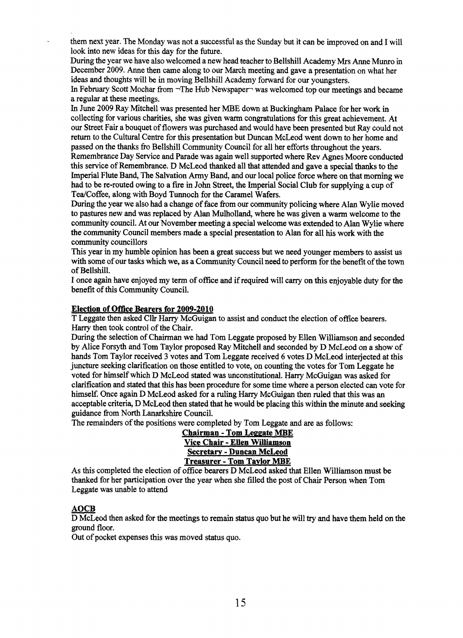them next year. The Monday was not a successful as the Sunday but it can be improved on and I will look into new ideas for this day for the future.

During the year we have also welcomed a new head teacher to Bellshill Academy **Mrs** Anne Munro in December 2009. Anne then came along to our March meeting and gave a presentation on what her ideas and thoughts will be in moving Bellshill Academy forward for our youngsters.

In February Scott Mochar **from** -The Hub Newspaper was welcomed top our meetings and became a regular at these meetings.

In June 2009 Ray Mitchell was presented her MBE **down** at Buckingham **Palace** for her work in collecting for various charities, she was given warm congratulations for this great achievement. At our Street Fair a bouquet of flowers was purchased and would have been presented but Ray could not return to the Cultural Centre for this presentation but Duncan McLeod went down to her home and passed on the thanks fio Bellshill Community Council for all her efforts throughout the years.

Remembrance Day Service and Parade was again well supported where Rev Agnes Moore conducted this service of Remembrance. D McLeod thanked all that attended and gave a special thanks to the Imperial Flute Band, The Salvation Army Band, and our local police force where on that morning we had to be re-routed owing to a fire in John Street, the Imperial Social Club for supplying a cup of Tea/Coffee, along with Boyd Tunnoch for the Caramel Wafers.

**During** the year we also had a change of face from **our** community policing where Alan Wylie moved to pastures new and was replaced by Alan Mulholland, where he was given a warm welcome to the community council. At our November meeting a special welcome was extended to **Alan** Wylie where the community Council members made a special presentation to Alan for all his work with the community councillors

This year in my humble opinion has been a great success but we need younger members to assist us with some of our tasks which we, as a Community Council need to perform for the benefit of the town of Bellshill.

I **once** again have enjoyed my term of office and if required will carry on this enjoyable duty for the benefit of this Community Council.

### **Election of Office Bearers for 2009-2010**

T Leggate then asked **Cllr** Harry McGuigan to assist and conduct the election of **ofice** bearers. Harry then took control of the Chair.

During the selection of Chairman we had Tom Leggate proposed by Ellen Williamson and seconded by Alice Forsyth and Tom Taylor proposed Ray Mitchell and seconded by D McLeod on a show of hands Tom Taylor received 3 votes **and Tom** Leggate received 6 votes D McLeod interjected at this juncture seeking clarification on those entitled to vote, on counting the votes for Tom Leggate he voted for himself which D McLeod stated was unconstitutional. Harry McGuigan was asked for clarification and stated that this has been procedure for some time where a person elected can vote for himself. Once again D McLeod asked for a ruling Harry McGuigan then ruled that this was an acceptable criteria, D McLeod then stated that he would be placing this within the minute and seeking guidance **fiom** North Lanarkshire Council.

The remainders of the positions were completed by Tom Leggate and are **as** follows:

### **Chairman** - **Tom Leeg ate MBE Vice Chair** - **Ellen Williamson Secretaw** - **Duncan McLeod Treasurer** - **Tom Tavlor MBE**

As this completed the election of office bearers D McLeod asked that Ellen Williamson must be thanked for her participation over the year when she filled the post of Chair Person when Tom Leggate was unable to attend As this complete<br>thanked for her p<br>Leggate was una<br>**AOCB**<br>D McLeod then

D McLeod then asked for the meetings to remain status quo but he will **try** and have them held on the ground floor.

Out of pocket expenses this was moved status quo.